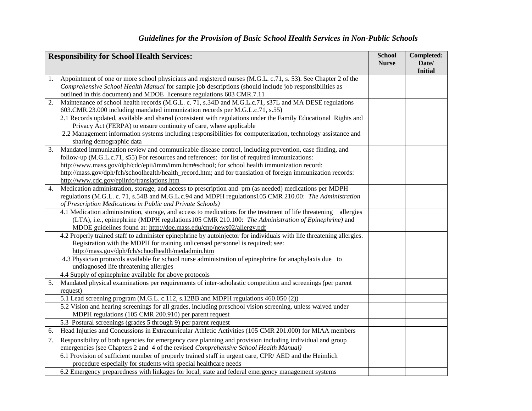| <b>Responsibility for School Health Services:</b> |                                                                                                                                                                                               | <b>School</b> | Completed:              |
|---------------------------------------------------|-----------------------------------------------------------------------------------------------------------------------------------------------------------------------------------------------|---------------|-------------------------|
|                                                   |                                                                                                                                                                                               | <b>Nurse</b>  | Date/<br><b>Initial</b> |
| 1.                                                | Appointment of one or more school physicians and registered nurses (M.G.L. c.71, s. 53). See Chapter 2 of the                                                                                 |               |                         |
|                                                   | Comprehensive School Health Manual for sample job descriptions (should include job responsibilities as                                                                                        |               |                         |
|                                                   | outlined in this document) and MDOE licensure regulations 603 CMR.7.11                                                                                                                        |               |                         |
| 2.                                                | Maintenance of school health records (M.G.L. c. 71, s.34D and M.G.L.c.71, s37L and MA DESE regulations                                                                                        |               |                         |
|                                                   | 603.CMR.23.000 including mandated immunization records per M.G.L.c.71, s.55)                                                                                                                  |               |                         |
|                                                   | 2.1 Records updated, available and shared (consistent with regulations under the Family Educational Rights and                                                                                |               |                         |
|                                                   | Privacy Act (FERPA) to ensure continuity of care, where applicable                                                                                                                            |               |                         |
|                                                   | 2.2 Management information systems including responsibilities for computerization, technology assistance and<br>sharing demographic data                                                      |               |                         |
| 3.                                                | Mandated immunization review and communicable disease control, including prevention, case finding, and                                                                                        |               |                         |
|                                                   | follow-up (M.G.L.c.71, s55) For resources and references: for list of required immunizations:                                                                                                 |               |                         |
|                                                   | http://www.mass.gov/dph/cdc/epii/imm/imm.htm#school; for school health immunization record:                                                                                                   |               |                         |
|                                                   | http://mass.gov/dph/fch/schoolhealth/health_record.htm; and for translation of foreign immunization records:                                                                                  |               |                         |
|                                                   | http://www.cdc.gov/epiinfo/translations.htm                                                                                                                                                   |               |                         |
| 4.                                                | Medication administration, storage, and access to prescription and prn (as needed) medications per MDPH                                                                                       |               |                         |
|                                                   | regulations (M.G.L. c. 71, s.54B and M.G.L.c.94 and MDPH regulations 105 CMR 210.00: The Administration                                                                                       |               |                         |
|                                                   | of Prescription Medications in Public and Private Schools)                                                                                                                                    |               |                         |
|                                                   | 4.1 Medication administration, storage, and access to medications for the treatment of life threatening<br>allergies                                                                          |               |                         |
|                                                   | (LTA), i.e., epinephrine (MDPH regulations105 CMR 210.100: The Administration of Epinephrine) and                                                                                             |               |                         |
|                                                   | MDOE guidelines found at: http://doe.mass.edu/cnp/news02/allergy.pdf<br>4.2 Properly trained staff to administer epinephrine by autoinjector for individuals with life threatening allergies. |               |                         |
|                                                   | Registration with the MDPH for training unlicensed personnel is required; see:                                                                                                                |               |                         |
|                                                   | http://mass.gov/dph/fch/schoolhealth/medadmin.htm                                                                                                                                             |               |                         |
|                                                   | 4.3 Physician protocols available for school nurse administration of epinephrine for anaphylaxis due to                                                                                       |               |                         |
|                                                   | undiagnosed life threatening allergies                                                                                                                                                        |               |                         |
|                                                   | 4.4 Supply of epinephrine available for above protocols                                                                                                                                       |               |                         |
| 5.                                                | Mandated physical examinations per requirements of inter-scholastic competition and screenings (per parent                                                                                    |               |                         |
|                                                   | request)                                                                                                                                                                                      |               |                         |
|                                                   | 5.1 Lead screening program (M.G.L. c.112, s.12BB and MDPH regulations 460.050 (2))                                                                                                            |               |                         |
|                                                   | 5.2 Vision and hearing screenings for all grades, including preschool vision screening, unless waived under                                                                                   |               |                         |
|                                                   | MDPH regulations (105 CMR 200.910) per parent request                                                                                                                                         |               |                         |
|                                                   | 5.3 Postural screenings (grades 5 through 9) per parent request                                                                                                                               |               |                         |
| 6.                                                | Head Injuries and Concussions in Extracurricular Athletic Activities (105 CMR 201.000) for MIAA members                                                                                       |               |                         |
| 7.                                                | Responsibility of both agencies for emergency care planning and provision including individual and group                                                                                      |               |                         |
|                                                   | emergencies (see Chapters 2 and 4 of the revised Comprehensive School Health Manual)                                                                                                          |               |                         |
|                                                   | 6.1 Provision of sufficient number of properly trained staff in urgent care, CPR/AED and the Heimlich                                                                                         |               |                         |
|                                                   | procedure especially for students with special healthcare needs                                                                                                                               |               |                         |
|                                                   | 6.2 Emergency preparedness with linkages for local, state and federal emergency management systems                                                                                            |               |                         |